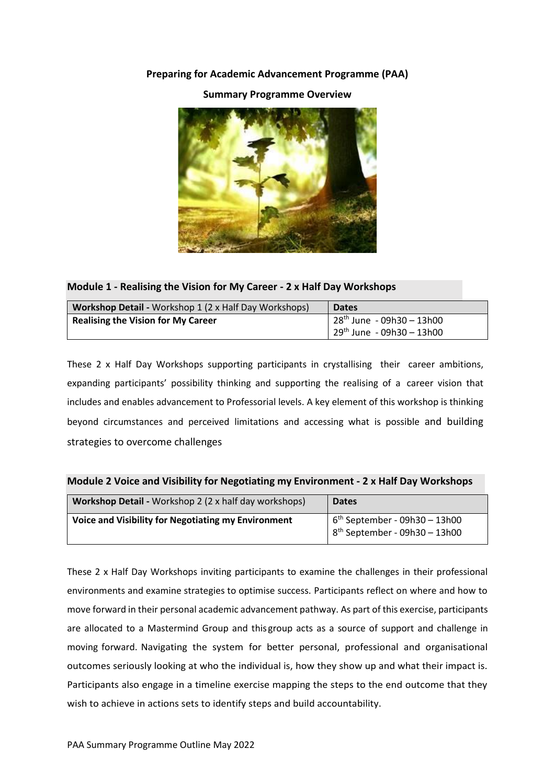# **Preparing for Academic Advancement Programme (PAA)**

## **Summary Programme Overview**

### **Module 1 - Realising the Vision for My Career - 2 x Half Day Workshops**

| <b>Workshop Detail - Workshop 1 (2 x Half Day Workshops)</b> | <b>Dates</b>                 |
|--------------------------------------------------------------|------------------------------|
| <b>Realising the Vision for My Career</b>                    | $28th$ June - 09h30 - 13h00  |
|                                                              | $129th$ June - 09h30 - 13h00 |

These 2 x Half Day Workshops supporting participants in crystallising their career ambitions, expanding participants' possibility thinking and supporting the realising of a career vision that includes and enables advancement to Professorial levels. A key element of this workshop is thinking beyond circumstances and perceived limitations and accessing what is possible and building strategies to overcome challenges

#### **Module 2 Voice and Visibility for Negotiating my Environment - 2 x Half Day Workshops**

| <b>Workshop Detail - Workshop 2 (2 x half day workshops)</b> | <b>Dates</b>                                                       |
|--------------------------------------------------------------|--------------------------------------------------------------------|
| Voice and Visibility for Negotiating my Environment          | $6th$ September - 09h30 - 13h00<br>$8th$ September - 09h30 - 13h00 |

These 2 x Half Day Workshops inviting participants to examine the challenges in their professional environments and examine strategies to optimise success. Participants reflect on where and how to move forward in their personal academic advancement pathway. As part of this exercise, participants are allocated to a Mastermind Group and this group acts as a source of support and challenge in moving forward. Navigating the system for better personal, professional and organisational outcomes seriously looking at who the individual is, how they show up and what their impact is. Participants also engage in a timeline exercise mapping the steps to the end outcome that they wish to achieve in actions sets to identify steps and build accountability.